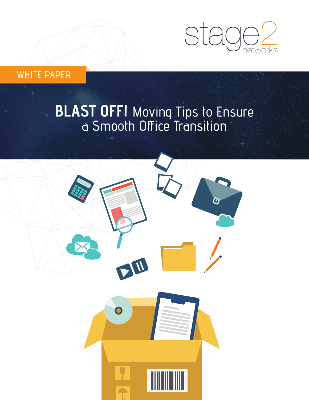

WHITE PAPER

# **BLAST OFF!** Moving Tips to Ensure a Smooth Office Transition

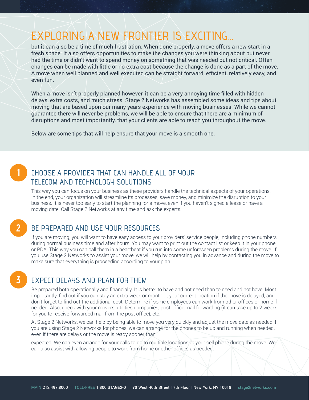## EXPLORING A NEW FRONTIER IS EXCITING...

but it can also be a time of much frustration. When done properly, a move offers a new start in a fresh space. It also offers opportunities to make the changes you were thinking about but never had the time or didn't want to spend money on something that was needed but not critical. Often changes can be made with little or no extra cost because the change is done as a part of the move. A move when well planned and well executed can be straight forward, efficient, relatively easy, and even fun.

When a move isn't properly planned however, it can be a very annoying time filled with hidden delays, extra costs, and much stress. Stage 2 Networks has assembled some ideas and tips about moving that are based upon our many years experience with moving businesses. While we cannot guarantee there will never be problems, we will be able to ensure that there are a minimum of disruptions and most importantly, that your clients are able to reach you throughout the move.

Below are some tips that will help ensure that your move is a smooth one.

# **1**

#### CHOOSE A PROVIDER THAT CAN HANDLE ALL OF YOUR TELECOM AND TECHNOLOGY SOLUTIONS

This way you can focus on your business as these providers handle the technical aspects of your operations. In the end, your organization will streamline its processes, save money, and minimize the disruption to your business. It is never too early to start the planning for a move, even if you haven't signed a lease or have a moving date. Call Stage 2 Networks at any time and ask the experts.

**2**

**3**

#### BE PREPARED AND USE YOUR RESOURCES

If you are moving, you will want to have easy access to your providers' service people, including phone numbers during normal business time and after hours. You may want to print out the contact list or keep it in your phone or PDA. This way you can call them in a heartbeat if you run into some unforeseen problems during the move. If you use Stage 2 Networks to assist your move, we will help by contacting you in advance and during the move to make sure that everything is proceeding according to your plan.

#### EXPECT DELAYS AND PLAN FOR THEM

Be prepared both operationally and financially. It is better to have and not need than to need and not have! Most importantly, find out if you can stay an extra week or month at your current location if the move is delayed, and don't forget to find out the additional cost. Determine if some employees can work from other offices or home if needed. Also, check with your movers, utilities companies, post office mail forwarding (it can take up to 2 weeks for you to receive forwarded mail from the post office), etc.

At Stage 2 Networks, we can help by being able to move you very quickly and adjust the move date as needed. If you are using Stage 2 Networks for phones, we can arrange for the phones to be up and running when needed, even if there are delays or the move is ready sooner than

expected. We can even arrange for your calls to go to multiple locations or your cell phone during the move. We can also assist with allowing people to work from home or other offices as needed.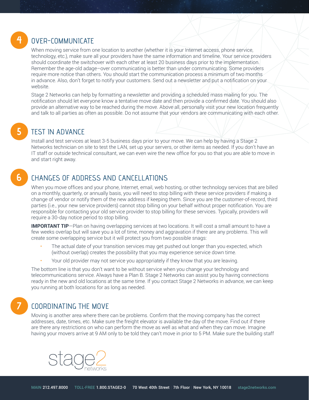## **4**

**5**

**6**

#### OVER-COMMUNICATE

When moving service from one location to another (whether it is your Internet access, phone service, technology, etc.), make sure all your providers have the same information and timeline. Your service providers should coordinate the switchover with each other at least 20 business days prior to the implementation. Remember the age-old adage–over communicating is better than under communicating. Some providers require more notice than others. You should start the communication process a minimum of two months in advance. Also, don't forget to notify your customers. Send out a newsletter and put a notification on your website.

Stage 2 Networks can help by formatting a newsletter and providing a scheduled mass mailing for you. The notification should let everyone know a tentative move date and then provide a confirmed date. You should also provide an alternative way to be reached during the move. Above all, personally visit your new location frequently and talk to all parties as often as possible. Do not assume that your vendors are communicating with each other.

### TEST IN ADVANCE

Install and test services at least 3-5 business days prior to your move. We can help by having a Stage 2 Networks technician on site to test the LAN, set up your servers, or other items as needed. If you don't have an IT staff or outside technical consultant, we can even wire the new office for you so that you are able to move in and start right away.

### CHANGES OF ADDRESS AND CANCELLATIONS

When you move offices and your phone, Internet, email, web hosting, or other technology services that are billed on a monthly, quarterly, or annually basis, you will need to stop billing with these service providers if making a change of vendor or notify them of the new address if keeping them. Since you are the customer-of-record, third parties (i.e., your new service providers) cannot stop billing on your behalf without proper notification. You are responsible for contacting your old service provider to stop billing for these services. Typically, providers will require a 30-day notice period to stop billing.

**IMPORTANT TIP**—Plan on having overlapping services at two locations. It will cost a small amount to have a few weeks overlap but will save you a lot of time, money and aggravation if there are any problems. This will create some overlapping service but it will protect you from two possible snags:

- The actual date of your transition services may get pushed out longer than you expected, which (without overlap) creates the possibility that you may experience service down time.
- Your old provider may not service you appropriately if they know that you are leaving.

The bottom line is that you don't want to be without service when you change your technology and telecommunications service. Always have a Plan B. Stage 2 Networks can assist you by having connections ready in the new and old locations at the same time. If you contact Stage 2 Networks in advance, we can keep you running at both locations for as long as needed.

### **7**

#### COORDINATING THE MOVE

Moving is another area where there can be problems. Confirm that the moving company has the correct addresses, date, times, etc. Make sure the freight elevator is available the day of the move. Find out if there are there any restrictions on who can perform the move as well as what and when they can move. Imagine having your movers arrive at 9 AM only to be told they can't move in prior to 5 PM. Make sure the building staff

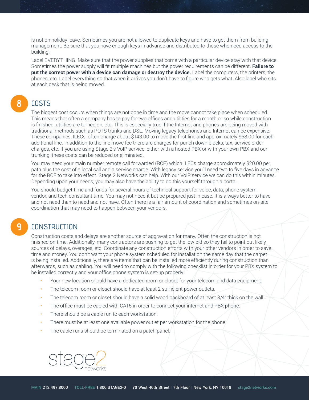is not on holiday leave. Sometimes you are not allowed to duplicate keys and have to get them from building management. Be sure that you have enough keys in advance and distributed to those who need access to the building.

Label EVERYTHING. Make sure that the power supplies that come with a particular device stay with that device. Sometimes the power supply will fit multiple machines but the power requirements can be different. **Failure to put the correct power with a device can damage or destroy the device.** Label the computers, the printers, the phones, etc. Label everything so that when it arrives you don't have to figure who gets what. Also label who sits at each desk that is being moved.

#### **COSTS 8**

The biggest cost occurs when things are not done in time and the move cannot take place when scheduled. This means that often a company has to pay for two offices and utilities for a month or so while construction is finished, utilities are turned on, etc. This is especially true if the Internet and phones are being moved with traditional methods such as POTS trunks and DSL. Moving legacy telephones and Internet can be expensive. These companies, ILECs, often charge about \$143.00 to move the first line and approximately \$68.00 for each additional line. In addition to the line move fee there are charges for punch down blocks, tax, service order charges, etc. If you are using Stage 2's VoIP service, either with a hosted PBX or with your own PBX and our trunking, these costs can be reduced or eliminated.

You may need your main number remote call forwarded (RCF) which ILECs charge approximately \$20.00 per path plus the cost of a local call and a service charge. With legacy service you'll need two to five days in advance for the RCF to take into effect. Stage 2 Networks can help. With our VoIP service we can do this within minutes. Depending upon your needs, you may also have the ability to do this yourself through a portal.

You should budget time and funds for several hours of technical support for voice, data, phone system vendor, and tech consultant time. You may not need it but be prepared just in case. It is always better to have and not need than to need and not have. Often there is a fair amount of coordination and sometimes on-site coordination that may need to happen between your vendors.

#### **CONSTRUCTION**

**9**

Construction costs and delays are another source of aggravation for many. Often the construction is not finished on time. Additionally, many contractors are pushing to get the low bid so they fail to point out likely sources of delays, overages, etc. Coordinate any construction efforts with your other vendors in order to save time and money. You don't want your phone system scheduled for installation the same day that the carpet is being installed. Additionally, there are items that can be installed more efficiently during construction than afterwards, such as cabling. You will need to comply with the following checklist in order for your PBX system to be installed correctly and your office phone system is set-up properly:

- Your new location should have a dedicated room or closet for your telecom and data equipment.
- The telecom room or closet should have at least 2 sufficient power outlets.
- The telecom room or closet should have a solid wood backboard of at least 3/4" thick on the wall.
- The office must be cabled with CAT5 in order to connect your internet and PBX phone.
- There should be a cable run to each workstation.
- There must be at least one available power outlet per workstation for the phone.
- The cable runs should be terminated on a patch panel.

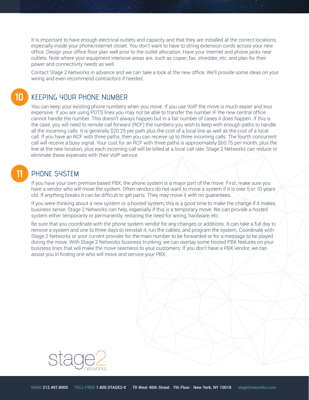It is important to have enough electrical outlets and capacity and that they are installed at the correct locations, especially inside your phone/internet closet. You don't want to have to string extension cords across your new office. Design your office floor plan well prior to the outlet allocation. Have your Internet and phone jacks near outlets. Note where your equipment intensive areas are, such as copier, fax, shredder, etc. and plan for their power and connectivity needs as well.

Contact Stage 2 Networks in advance and we can take a look at the new office. We'll provide some ideas on your wiring and even recommend contractors if needed.

#### KEEPING YOUR PHONE NUMBER

You can keep your existing phone numbers when you move. If you use VoIP the move is much easier and less expensive. If you are using POTS lines you may not be able to transfer the number IF the new central office cannot handle the number. This doesn't always happen but in a fair number of cases it does happen. If this is the case, you will need to remote call forward (RCF) the numbers you wish to keep with enough paths to handle all the incoming calls. It is generally \$20.25 per path plus the cost of a local line as well as the cost of a local call. If you have an RCF with three paths, then you can receive up to three incoming calls. The fourth concurrent call will receive a busy signal. Your cost for an RCF with three paths is approximately \$60.75 per month, plus the line at the new location, plus each incoming call will be billed at a local call rate. Stage 2 Networks can reduce or eliminate these expenses with their VoIP service.

#### PHONE SYSTEM **11**

**10**

If you have your own premise based PBX, the phone system is a major part of the move. First, make sure you have a vendor who will move the system. Often vendors do not want to move a system if it is over 5 or 10 years old. If anything breaks it can be difficult to get parts. They may move it with no guarantees.

If you were thinking about a new system or a hosted system, this is a good time to make the change if it makes business sense. Stage 2 Networks can help, especially if this is a temporary move. We can provide a hosted system either temporarily or permanently, reducing the need for wiring, hardware, etc.

Be sure that you coordinate with the phone system vendor for any changes or additions. It can take a full day to remove a system and one to three days to reinstall it, run the cables, and program the system. Coordinate with Stage 2 Networks or your current provider for the main number to be forwarded or for a message to be played during the move. With Stage 2 Networks business trunking, we can overlay some hosted PBX features on your business lines that will make the move seamless to your customers. If you don't have a PBX vendor, we can assist you in finding one who will move and service your PBX.